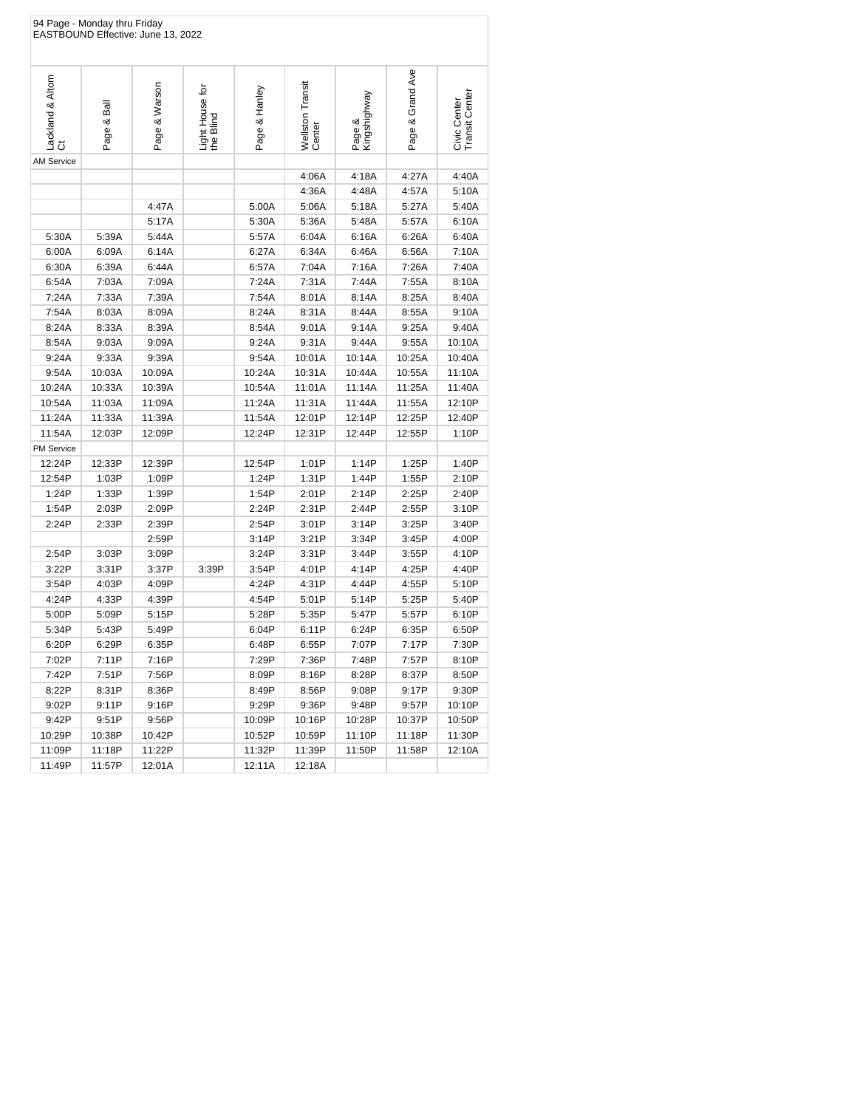|                        | 94 Page - Monday thru Friday | EASTBOUND Effective: June 13, 2022 |                              |               |                            |                        |                  |                                |
|------------------------|------------------------------|------------------------------------|------------------------------|---------------|----------------------------|------------------------|------------------|--------------------------------|
| Lackland & Altom<br>Ct | Page & Ball                  | Page & Warson                      | Light House for<br>the Blind | Page & Hanley | Wellston Transit<br>Center | Page &<br>Kingshighway | Page & Grand Ave | Civic Center<br>Transit Center |
| <b>AM Service</b>      |                              |                                    |                              |               |                            |                        |                  |                                |
|                        |                              |                                    |                              |               | 4:06A                      | 4:18A                  | 4:27A            | 4:40A                          |
|                        |                              |                                    |                              |               | 4:36A                      | 4:48A                  | 4:57A            | 5:10A                          |
|                        |                              | 4:47A                              |                              | 5:00A         | 5:06A                      | 5:18A                  | 5:27A            | 5:40A                          |
|                        |                              | 5:17A                              |                              | 5:30A         | 5:36A                      | 5:48A                  | 5:57A            | 6:10A                          |
| 5:30A                  | 5:39A                        | 5:44A                              |                              | 5:57A         | 6:04A                      | 6:16A                  | 6:26A            | 6:40A                          |
| 6:00A                  | 6:09A                        | 6:14A                              |                              | 6:27A         | 6:34A                      | 6:46A                  | 6:56A            | 7:10A                          |
| 6:30A                  | 6:39A                        | 6:44A                              |                              | 6:57A         | 7:04A                      | 7:16A                  | 7:26A            | 7:40A                          |
| 6:54A                  | 7:03A                        | 7:09A                              |                              | 7:24A         | 7:31A                      | 7:44A                  | 7:55A            | 8:10A                          |
| 7:24A                  | 7:33A                        | 7:39A                              |                              | 7:54A         | 8:01A                      | 8:14A                  | 8:25A            | 8:40A                          |
| 7:54A                  | 8:03A                        | 8:09A                              |                              | 8:24A         | 8:31A                      | 8:44A                  | 8:55A            | 9:10A                          |
| 8:24A                  | 8:33A                        | 8:39A                              |                              | 8:54A         | 9:01A                      | 9:14A                  | 9:25A            | 9:40A                          |
| 8:54A                  | 9:03A                        | 9:09A                              |                              | 9:24A         | 9:31A                      | 9:44A                  | 9:55A            | 10:10A                         |
| 9:24A                  | 9:33A                        | 9:39A                              |                              | 9:54A         | 10:01A                     | 10:14A                 | 10:25A           | 10:40A                         |
| 9:54A                  | 10:03A                       | 10:09A                             |                              | 10:24A        | 10:31A                     | 10:44A                 | 10:55A           | 11:10A                         |
| 10:24A                 | 10:33A                       | 10:39A                             |                              | 10:54A        | 11:01A                     | 11:14A                 | 11:25A           | 11:40A                         |
| 10:54A                 | 11:03A                       | 11:09A                             |                              | 11:24A        | 11:31A                     | 11:44A                 | 11:55A           | 12:10P                         |
| 11:24A                 | 11:33A                       | 11:39A                             |                              | 11:54A        | 12:01P                     | 12:14P                 | 12:25P           | 12:40P                         |
| 11:54A                 | 12:03P                       | 12:09P                             |                              | 12:24P        | 12:31P                     | 12:44P                 | 12:55P           | 1:10P                          |
| <b>PM Service</b>      |                              |                                    |                              |               |                            |                        |                  |                                |
| 12:24P                 | 12:33P                       | 12:39P                             |                              | 12:54P        | 1:01P                      | 1:14P                  | 1:25P            | 1:40P                          |
| 12:54P                 | 1:03P                        | 1:09P                              |                              | 1:24P         | 1:31P                      | 1:44P                  | 1:55P            | 2:10P                          |
| 1:24P                  | 1:33P                        | 1:39P                              |                              | 1:54P         | 2:01P                      | 2:14P                  | 2:25P            | 2:40P                          |
| 1:54P                  | 2:03P                        | 2:09P                              |                              | 2:24P         | 2:31P                      | 2:44P                  | 2:55P            | 3:10P                          |
| 2:24P                  | 2:33P                        | 2:39P                              |                              | 2:54P         | 3:01P                      | 3:14P                  | 3:25P            | 3:40P                          |
|                        |                              | 2:59P                              |                              | 3:14P         | 3:21P                      | 3:34P                  | 3:45P            | 4:00P                          |
| 2:54P                  | 3:03P                        | 3:09P                              |                              | 3:24P         | 3:31P                      | 3:44P                  | 3:55P            | 4:10P                          |
| 3:22P                  | 3:31P                        | 3:37P                              | 3:39P                        | 3:54P         | 4:01P                      | 4:14P                  | 4:25P            | 4:40P                          |
| 3:54P                  | 4:03P                        | 4:09P                              |                              | 4:24P         | 4:31P                      | 4:44P                  | 4:55P            | 5:10P                          |
| 4:24P                  | 4:33P                        | 4:39P                              |                              | 4:54P         | 5:01P                      | 5:14P                  | 5:25P            | 5:40P                          |
| 5:00P                  | 5:09P                        | 5:15P                              |                              | 5:28P         | 5:35P                      | 5:47P                  | 5:57P            | 6:10P                          |
| 5:34P                  | 5:43P                        | 5:49P                              |                              | 6:04P         | 6:11P                      | 6:24P                  | 6:35P            | 6:50P                          |
| 6:20P                  | 6:29P                        | 6:35P                              |                              | 6:48P         | 6:55P                      | 7:07P                  | 7:17P            | 7:30P                          |
| 7:02P                  | 7:11P                        | 7:16P                              |                              | 7:29P         | 7:36P                      | 7:48P                  | 7:57P            | 8:10P                          |
| 7:42P                  | 7:51P                        | 7:56P                              |                              | 8:09P         | 8:16P                      | 8:28P                  | 8:37P            | 8:50P                          |
| 8:22P                  | 8:31P                        | 8:36P                              |                              | 8:49P         | 8:56P                      | 9:08P                  | 9:17P            | 9:30P                          |
| 9:02P                  | 9:11P                        | 9:16P                              |                              | 9:29P         | 9:36P                      | 9:48P                  | 9:57P            | 10:10P                         |
| 9:42P                  | 9:51P                        | 9:56P                              |                              | 10:09P        | 10:16P                     | 10:28P                 | 10:37P           | 10:50P                         |
| 10:29P                 | 10:38P                       | 10:42P                             |                              | 10:52P        | 10:59P                     | 11:10P                 | 11:18P           | 11:30P                         |
| 11:09P                 | 11:18P                       | 11:22P                             |                              | 11:32P        | 11:39P                     | 11:50P                 | 11:58P           | 12:10A                         |
| 11:49P                 | 11:57P                       | 12:01A                             |                              | 12:11A        | 12:18A                     |                        |                  |                                |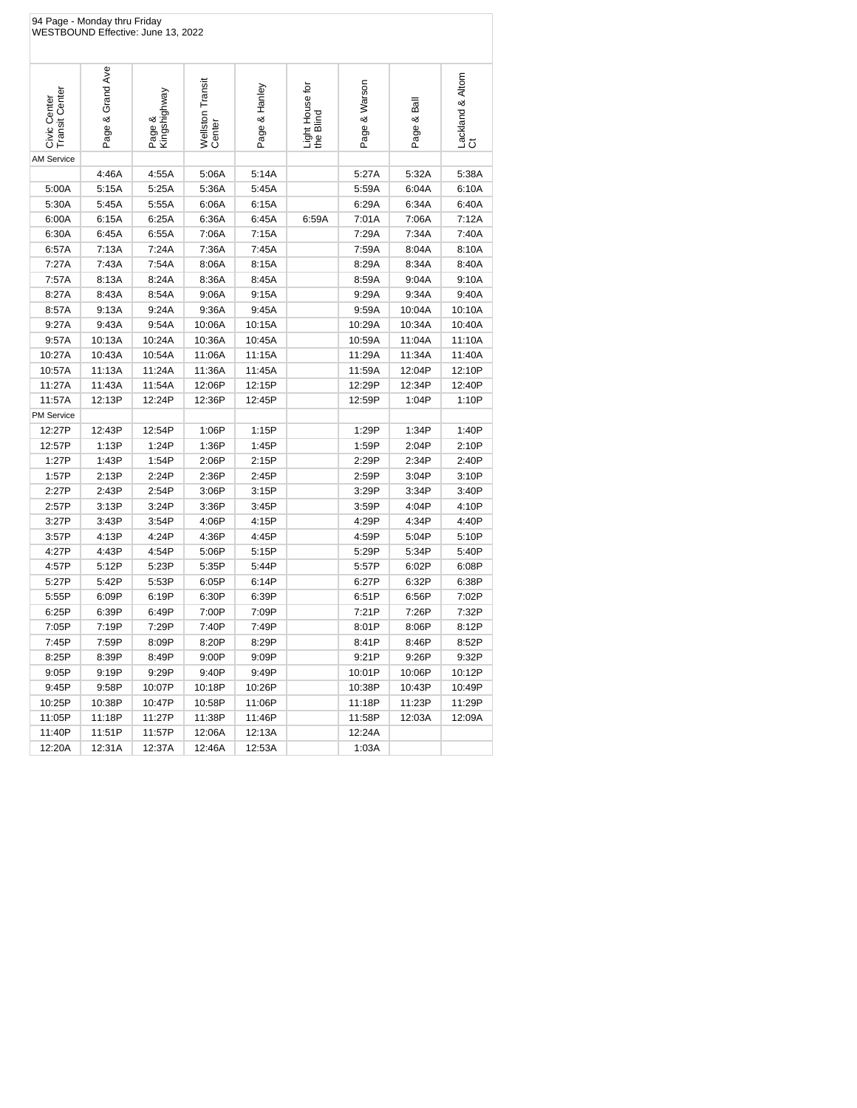| 94 Page - Monday thru Friday<br>WESTBOUND Effective: June 13, 2022 |                  |                        |                            |               |                              |               |             |                        |  |
|--------------------------------------------------------------------|------------------|------------------------|----------------------------|---------------|------------------------------|---------------|-------------|------------------------|--|
| <b>Transit Center</b><br>Civic Center                              | Page & Grand Ave | Page &<br>Kingshighway | Wellston Transit<br>Center | Page & Hanley | Light House for<br>the Blind | Page & Warson | Page & Ball | Lackland & Altom<br>Ct |  |
| <b>AM Service</b>                                                  |                  |                        |                            |               |                              |               |             |                        |  |
|                                                                    | 4:46A            | 4:55A                  | 5:06A                      | 5:14A         |                              | 5:27A         | 5:32A       | 5:38A                  |  |
| 5:00A                                                              | 5:15A            | 5:25A                  | 5:36A                      | 5:45A         |                              | 5:59A         | 6:04A       | 6:10A                  |  |
| 5:30A                                                              | 5:45A            | 5:55A                  | 6:06A                      | 6:15A         |                              | 6:29A         | 6:34A       | 6:40A                  |  |
| 6:00A                                                              | 6:15A            | 6:25A                  | 6:36A                      | 6:45A         | 6:59A                        | 7:01A         | 7:06A       | 7:12A                  |  |
| 6:30A                                                              | 6:45A            | 6:55A                  | 7:06A                      | 7:15A         |                              | 7:29A         | 7:34A       | 7:40A                  |  |
| 6:57A                                                              | 7:13A            | 7:24A                  | 7:36A                      | 7:45A         |                              | 7:59A         | 8:04A       | 8:10A                  |  |
| 7:27A                                                              | 7:43A            | 7:54A                  | 8:06A                      | 8:15A         |                              | 8:29A         | 8:34A       | 8:40A                  |  |
| 7:57A                                                              | 8:13A            | 8:24A                  | 8:36A                      | 8:45A         |                              | 8:59A         | 9:04A       | 9:10A                  |  |
| 8:27A                                                              | 8:43A            | 8:54A                  | 9:06A                      | 9:15A         |                              | 9:29A         | 9:34A       | 9:40A                  |  |
| 8:57A                                                              | 9:13A            | 9:24A                  | 9:36A                      | 9:45A         |                              | 9:59A         | 10:04A      | 10:10A                 |  |
| 9:27A                                                              | 9:43A            | 9:54A                  | 10:06A                     | 10:15A        |                              | 10:29A        | 10:34A      | 10:40A                 |  |
| 9:57A                                                              | 10:13A           | 10:24A                 | 10:36A                     | 10:45A        |                              | 10:59A        | 11:04A      | 11:10A                 |  |
| 10:27A                                                             | 10:43A           | 10:54A                 | 11:06A                     | 11:15A        |                              | 11:29A        | 11:34A      | 11:40A                 |  |
| 10:57A                                                             | 11:13A           | 11:24A                 | 11:36A                     | 11:45A        |                              | 11:59A        | 12:04P      | 12:10P                 |  |
| 11:27A                                                             | 11:43A           | 11:54A                 | 12:06P                     | 12:15P        |                              | 12:29P        | 12:34P      | 12:40P                 |  |
| 11:57A                                                             | 12:13P           | 12:24P                 | 12:36P                     | 12:45P        |                              | 12:59P        | 1:04P       | 1:10P                  |  |
| <b>PM Service</b>                                                  |                  |                        |                            |               |                              |               |             |                        |  |
| 12:27P                                                             | 12:43P           | 12:54P                 | 1:06P                      | 1:15P         |                              | 1:29P         | 1:34P       | 1:40P                  |  |
| 12:57P                                                             | 1:13P            | 1:24P                  | 1:36P                      | 1:45P         |                              | 1:59P         | 2:04P       | 2:10P                  |  |
| 1:27P                                                              | 1:43P            | 1:54P                  | 2:06P                      | 2:15P         |                              | 2:29P         | 2:34P       | 2:40P                  |  |
| 1:57P                                                              | 2:13P            | 2:24P                  | 2:36P                      | 2:45P         |                              | 2:59P         | 3:04P       | 3:10P                  |  |
| 2:27P                                                              | 2:43P            | 2:54P                  | 3:06P                      | 3:15P         |                              | 3:29P         | 3:34P       | 3:40P                  |  |
| 2:57P                                                              | 3:13P            | 3:24P                  | 3:36P                      | 3:45P         |                              | 3:59P         | 4:04P       | 4:10P                  |  |
| 3:27P                                                              | 3:43P            | 3:54P                  | 4:06P                      | 4:15P         |                              | 4:29P         | 4:34P       | 4:40P                  |  |
| 3:57P                                                              | 4:13P            | 4:24P                  | 4:36P                      | 4:45P         |                              | 4:59P         | 5:04P       | 5:10P                  |  |
| 4:27P                                                              | 4:43P            | 4:54P                  | 5:06P                      | 5:15P         |                              | 5:29P         | 5:34P       | 5:40P                  |  |
| 4:57P                                                              | 5:12P            | 5:23P                  | 5:35P                      | 5:44P         |                              | 5:57P         | 6:02P       | 6:08P                  |  |
| 5:27P                                                              | 5:42P            | 5:53P                  | 6:05P                      | 6:14P         |                              | 6:27P         | 6:32P       | 6:38P                  |  |
| 5:55P                                                              | 6:09P            | 6:19P                  | 6:30P                      | 6:39P         |                              | 6:51P         | 6:56P       | 7:02P                  |  |
| 6:25P                                                              | 6:39P            | 6:49P                  | 7:00P                      | 7:09P         |                              | 7:21P         | 7:26P       | 7:32P                  |  |
| 7:05P                                                              | 7:19P            | 7:29P                  | 7:40P                      | 7:49P         |                              | 8:01P         | 8:06P       | 8:12P                  |  |
| 7:45P                                                              | 7:59P            | 8:09P                  | 8:20P                      | 8:29P         |                              | 8:41P         | 8:46P       | 8:52P                  |  |
| 8:25P                                                              | 8:39P            | 8:49P                  | 9:00P                      | 9:09P         |                              | 9:21P         | 9:26P       | 9:32P                  |  |
| 9:05P                                                              | 9:19P            | 9:29P                  | 9:40P                      | 9:49P         |                              | 10:01P        | 10:06P      | 10:12P                 |  |
| 9:45P                                                              | 9:58P            | 10:07P                 | 10:18P                     | 10:26P        |                              | 10:38P        | 10:43P      | 10:49P                 |  |
| 10:25P                                                             | 10:38P           | 10:47P                 | 10:58P                     | 11:06P        |                              | 11:18P        | 11:23P      | 11:29P                 |  |
| 11:05P                                                             | 11:18P           | 11:27P                 | 11:38P                     | 11:46P        |                              | 11:58P        | 12:03A      | 12:09A                 |  |
| 11:40P                                                             | 11:51P           | 11:57P                 | 12:06A                     | 12:13A        |                              | 12:24A        |             |                        |  |
| 12:20A                                                             | 12:31A           | 12:37A                 | 12:46A                     | 12:53A        |                              | 1:03A         |             |                        |  |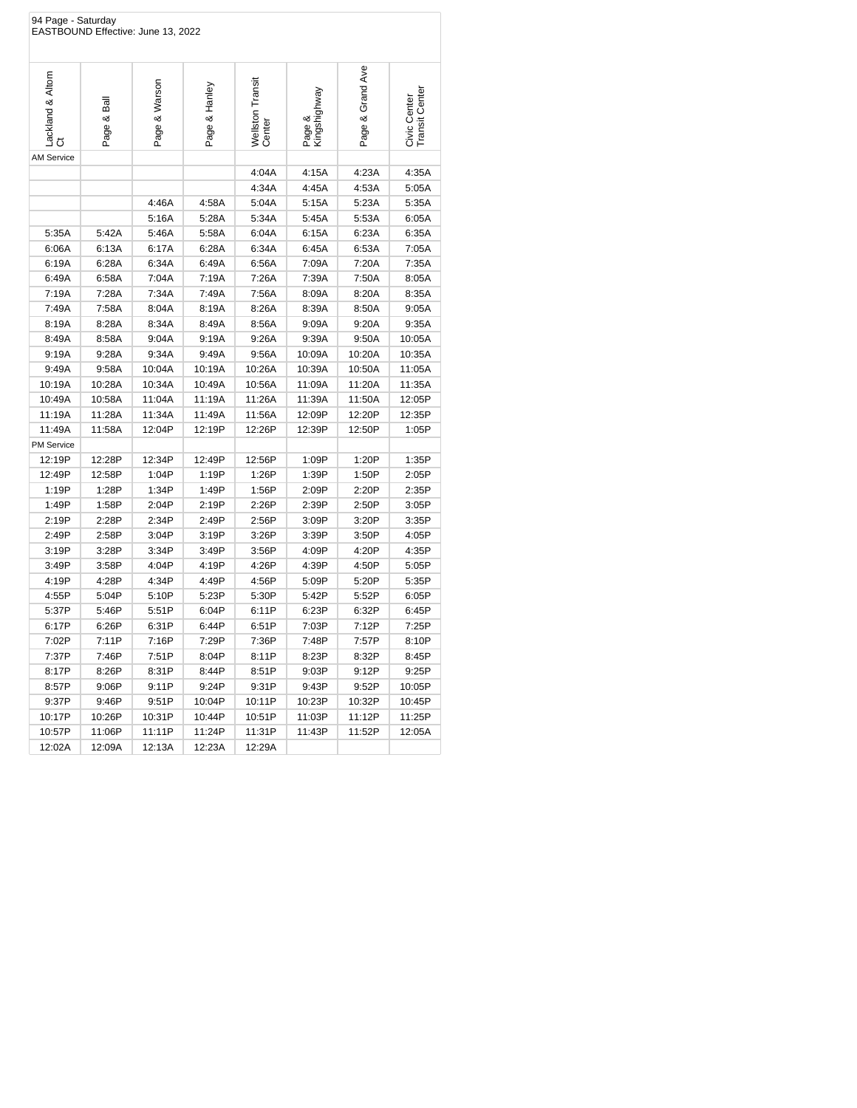| 94 Page - Saturday<br>EASTBOUND Effective: June 13, 2022 |            |               |               |                            |                        |                  |                                |  |
|----------------------------------------------------------|------------|---------------|---------------|----------------------------|------------------------|------------------|--------------------------------|--|
| Lackland & Altom<br>ö                                    | Page & Bal | Page & Warson | Page & Hanley | Wellston Transit<br>Center | Page &<br>Kingshighway | Page & Grand Ave | Civic Center<br>Transit Center |  |
| <b>AM Service</b>                                        |            |               |               |                            |                        |                  |                                |  |
|                                                          |            |               |               | 4:04A                      | 4:15A                  | 4:23A            | 4:35A                          |  |
|                                                          |            |               |               | 4:34A                      | 4:45A                  | 4:53A            | 5:05A                          |  |
|                                                          |            | 4:46A         | 4:58A         | 5:04A                      | 5:15A                  | 5:23A            | 5:35A                          |  |
|                                                          |            | 5:16A         | 5:28A         | 5:34A                      | 5:45A                  | 5:53A            | 6:05A                          |  |
| 5:35A                                                    | 5:42A      | 5:46A         | 5:58A         | 6:04A                      | 6:15A                  | 6:23A            | 6:35A                          |  |
| 6:06A                                                    | 6:13A      | 6:17A         | 6:28A         | 6:34A                      | 6:45A                  | 6:53A            | 7:05A                          |  |
| 6:19A                                                    | 6:28A      | 6:34A         | 6:49A         | 6:56A                      | 7:09A                  | 7:20A            | 7:35A                          |  |
| 6:49A                                                    | 6:58A      | 7:04A         | 7:19A         | 7:26A                      | 7:39A                  | 7:50A            | 8:05A                          |  |
| 7:19A                                                    | 7:28A      | 7:34A         | 7:49A         | 7:56A                      | 8:09A                  | 8:20A            | 8:35A                          |  |
| 7:49A                                                    | 7:58A      | 8:04A         | 8:19A         | 8:26A                      | 8:39A                  | 8:50A            | 9:05A                          |  |
| 8:19A                                                    | 8:28A      | 8:34A         | 8:49A         | 8:56A                      | 9:09A                  | 9:20A            | 9:35A                          |  |
| 8:49A                                                    | 8:58A      | 9:04A         | 9:19A         | 9:26A                      | 9:39A                  | 9:50A            | 10:05A                         |  |
| 9:19A                                                    | 9:28A      | 9:34A         | 9:49A         | 9:56A                      | 10:09A                 | 10:20A           | 10:35A                         |  |
| 9:49A                                                    | 9:58A      | 10:04A        | 10:19A        | 10:26A                     | 10:39A                 | 10:50A           | 11:05A                         |  |
| 10:19A                                                   | 10:28A     | 10:34A        | 10:49A        | 10:56A                     | 11:09A                 | 11:20A           | 11:35A                         |  |
| 10:49A                                                   | 10:58A     | 11:04A        | 11:19A        | 11:26A                     | 11:39A                 | 11:50A           | 12:05P                         |  |
| 11:19A                                                   | 11:28A     | 11:34A        | 11:49A        | 11:56A                     | 12:09P                 | 12:20P           | 12:35P                         |  |
| 11:49A                                                   | 11:58A     | 12:04P        | 12:19P        | 12:26P                     | 12:39P                 | 12:50P           | 1:05P                          |  |
| <b>PM Service</b>                                        |            |               |               |                            |                        |                  |                                |  |
| 12:19P                                                   | 12:28P     | 12:34P        | 12:49P        | 12:56P                     | 1:09P                  | 1:20P            | 1:35P                          |  |
| 12:49P                                                   | 12:58P     | 1:04P         | 1:19P         | 1:26P                      | 1:39P                  | 1:50P            | 2:05P                          |  |
| 1:19P                                                    | 1:28P      | 1:34P         | 1:49P         | 1:56P                      | 2:09P                  | 2:20P            | 2:35P                          |  |
| 1:49P                                                    | 1:58P      | 2:04P         | 2:19P         | 2:26P                      | 2:39P                  | 2:50P            | 3:05P                          |  |
| 2:19P                                                    | 2:28P      | 2:34P         | 2:49P         | 2:56P                      | 3:09P                  | 3:20P            | 3:35P                          |  |
| 2:49P                                                    | 2:58P      | 3:04P         | 3:19P         | 3:26P                      | 3:39P                  | 3:50P            | 4:05P                          |  |
| 3:19P                                                    | 3:28P      | 3:34P         | 3:49P         | 3:56P                      | 4:09P                  | 4:20P            | 4:35P                          |  |
| 3:49P                                                    | 3:58P      | 4:04P         | 4:19P         | 4:26P                      | 4:39P                  | 4:50P            | 5:05P                          |  |
| 4:19P                                                    | 4:28P      | 4:34P         | 4:49P         | 4:56P                      | 5:09P                  | 5:20P            | 5:35P                          |  |
| 4:55P                                                    | 5:04P      | 5:10P         | 5:23P         | 5:30P                      | 5:42P                  | 5:52P            | 6:05P                          |  |
| 5:37P                                                    | 5:46P      | 5:51P         | 6:04P         | 6:11P                      | 6:23P                  | 6:32P            | 6:45P                          |  |
| 6:17P                                                    | 6:26P      | 6:31P         | 6:44P         | 6:51P                      | 7:03P                  | 7:12P            | 7:25P                          |  |
| 7:02P                                                    | 7:11P      | 7:16P         | 7:29P         | 7:36P                      | 7:48P                  | 7:57P            | 8:10P                          |  |
| 7:37P                                                    | 7:46P      | 7:51P         | 8:04P         | 8:11P                      | 8:23P                  | 8:32P            | 8:45P                          |  |
| 8:17P                                                    | 8:26P      | 8:31P         | 8:44P         | 8:51P                      | 9:03P                  | 9:12P            | 9:25P                          |  |
| 8:57P                                                    | 9:06P      | 9:11P         | 9:24P         | 9:31P                      | 9:43P                  | 9:52P            | 10:05P                         |  |
| 9:37P                                                    | 9:46P      | 9:51P         | 10:04P        | 10:11P                     | 10:23P                 | 10:32P           | 10:45P                         |  |
| 10:17P                                                   | 10:26P     | 10:31P        | 10:44P        | 10:51P                     | 11:03P                 | 11:12P           | 11:25P                         |  |
| 10:57P                                                   | 11:06P     | 11:11P        | 11:24P        | 11:31P                     | 11:43P                 | 11:52P           | 12:05A                         |  |
| 12:02A                                                   | 12:09A     | 12:13A        | 12:23A        | 12:29A                     |                        |                  |                                |  |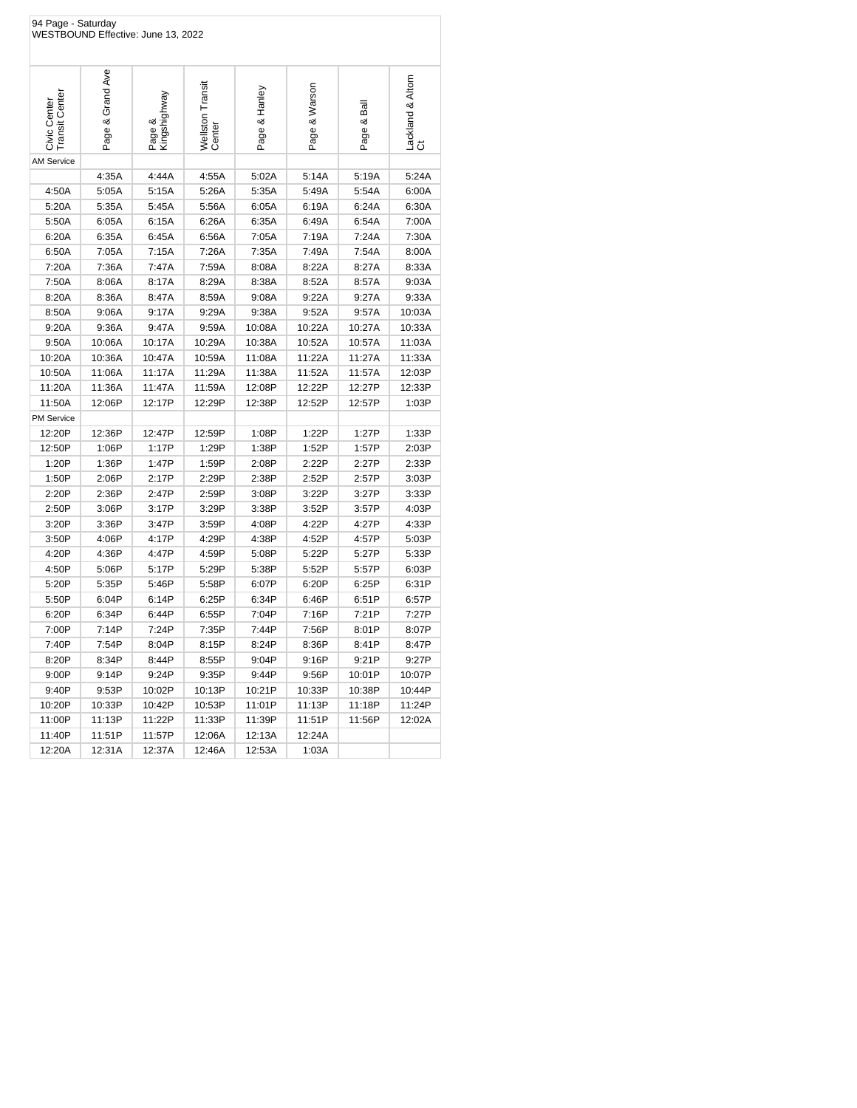| 94 Page - Saturday<br>WESTBOUND Effective: June 13, 2022 |                  |                        |                            |               |               |            |                        |  |
|----------------------------------------------------------|------------------|------------------------|----------------------------|---------------|---------------|------------|------------------------|--|
| <b>Transit Center</b><br>Civic Center                    | Page & Grand Ave | Page &<br>Kingshighway | Wellston Transit<br>Center | Page & Hanley | Page & Warson | Page & Bal | Lackland & Altom<br>Ct |  |
| <b>AM Service</b>                                        |                  |                        |                            |               |               |            |                        |  |
|                                                          | 4:35A            | 4:44A                  | 4:55A                      | 5:02A         | 5:14A         | 5:19A      | 5:24A                  |  |
| 4:50A                                                    | 5:05A            | 5:15A                  | 5:26A                      | 5:35A         | 5:49A         | 5:54A      | 6:00A                  |  |
| 5:20A                                                    | 5:35A            | 5:45A                  | 5:56A                      | 6:05A         | 6:19A         | 6:24A      | 6:30A                  |  |
| 5:50A                                                    | 6:05A            | 6:15A                  | 6:26A                      | 6:35A         | 6:49A         | 6:54A      | 7:00A                  |  |
| 6:20A                                                    | 6:35A            | 6:45A                  | 6:56A                      | 7:05A         | 7:19A         | 7:24A      | 7:30A                  |  |
| 6:50A                                                    | 7:05A            | 7:15A                  | 7:26A                      | 7:35A         | 7:49A         | 7:54A      | 8:00A                  |  |
| 7:20A                                                    | 7:36A            | 7:47A                  | 7:59A                      | 8:08A         | 8:22A         | 8:27A      | 8:33A                  |  |
| 7:50A                                                    | 8:06A            | 8:17A                  | 8:29A                      | 8:38A         | 8:52A         | 8:57A      | 9:03A                  |  |
| 8:20A                                                    | 8:36A            | 8:47A                  | 8:59A                      | 9:08A         | 9:22A         | 9:27A      | 9:33A                  |  |
| 8:50A                                                    | 9:06A            | 9:17A                  | 9:29A                      | 9:38A         | 9:52A         | 9:57A      | 10:03A                 |  |
| 9:20A                                                    | 9:36A            | 9:47A                  | 9:59A                      | 10:08A        | 10:22A        | 10:27A     | 10:33A                 |  |
| 9:50A                                                    | 10:06A           | 10:17A                 | 10:29A                     | 10:38A        | 10:52A        | 10:57A     | 11:03A                 |  |
| 10:20A                                                   | 10:36A           | 10:47A                 | 10:59A                     | 11:08A        | 11:22A        | 11:27A     | 11:33A                 |  |
| 10:50A                                                   | 11:06A           | 11:17A                 | 11:29A                     | 11:38A        | 11:52A        | 11:57A     | 12:03P                 |  |
| 11:20A                                                   | 11:36A           | 11:47A                 | 11:59A                     | 12:08P        | 12:22P        | 12:27P     | 12:33P                 |  |
| 11:50A                                                   | 12:06P           | 12:17P                 | 12:29P                     | 12:38P        | 12:52P        | 12:57P     | 1:03P                  |  |
| PM Service                                               |                  |                        |                            |               |               |            |                        |  |
| 12:20P                                                   | 12:36P           | 12:47P                 | 12:59P                     | 1:08P         | 1:22P         | 1:27P      | 1:33P                  |  |
| 12:50P                                                   | 1:06P            | 1:17P                  | 1:29P                      | 1:38P         | 1:52P         | 1:57P      | 2:03P                  |  |
| 1:20P                                                    | 1:36P            | 1:47P                  | 1:59P                      | 2:08P         | 2:22P         | 2:27P      | 2:33P                  |  |
| 1:50P                                                    | 2:06P            | 2:17P                  | 2:29P                      | 2:38P         | 2:52P         | 2:57P      | 3:03P                  |  |
| 2:20P                                                    | 2:36P            | 2:47P                  | 2:59P                      | 3:08P         | 3:22P         | 3:27P      | 3:33P                  |  |
| 2:50P                                                    | 3:06P            | 3:17P                  | 3:29P                      | 3:38P         | 3:52P         | 3:57P      | 4:03P                  |  |
| 3:20P                                                    | 3:36P            | 3:47P                  | 3:59P                      | 4:08P         | 4:22P         | 4:27P      | 4:33P                  |  |
| 3:50P                                                    | 4:06P            | 4:17P                  | 4:29P                      | 4:38P         | 4:52P         | 4:57P      | 5:03P                  |  |
| 4:20P                                                    | 4:36P            | 4:47P                  | 4:59P                      | 5:08P         | 5:22P         | 5:27P      | 5:33P                  |  |
| 4:50P                                                    | 5:06P            | 5:17P                  | 5:29P                      | 5:38P         | 5:52P         | 5:57P      | 6:03P                  |  |
| 5:20P                                                    | 5:35P            | 5:46P                  | 5:58P                      | 6:07P         | 6:20P         | 6:25P      | 6:31P                  |  |
| 5:50P                                                    | 6:04P            | 6:14P                  | 6:25P                      | 6:34P         | 6:46P         | 6:51P      | 6:57P                  |  |
| 6:20P                                                    | 6:34P            | 6:44P                  | 6:55P                      | 7:04P         | 7:16P         | 7:21P      | 7:27P                  |  |
| 7:00P                                                    | 7:14P            | 7:24P                  | 7:35P                      | 7:44P         | 7:56P         | 8:01P      | 8:07P                  |  |
| 7:40P                                                    | 7:54P            | 8:04P                  | 8:15P                      | 8:24P         | 8:36P         | 8:41P      | 8:47P                  |  |
| 8:20P                                                    | 8:34P            | 8:44P                  | 8:55P                      | 9:04P         | 9:16P         | 9:21P      | 9:27P                  |  |
| 9:00P                                                    | 9:14P            | 9:24P                  | 9:35P                      | 9:44P         | 9:56P         | 10:01P     | 10:07P                 |  |
| 9:40P                                                    | 9:53P            | 10:02P                 | 10:13P                     | 10:21P        | 10:33P        | 10:38P     | 10:44P                 |  |
| 10:20P                                                   | 10:33P           | 10:42P                 | 10:53P                     | 11:01P        | 11:13P        | 11:18P     | 11:24P                 |  |
| 11:00P                                                   | 11:13P           | 11:22P                 | 11:33P                     | 11:39P        | 11:51P        | 11:56P     | 12:02A                 |  |
| 11:40P                                                   | 11:51P           | 11:57P                 | 12:06A                     | 12:13A        | 12:24A        |            |                        |  |
| 12:20A                                                   | 12:31A           | 12:37A                 | 12:46A                     | 12:53A        | 1:03A         |            |                        |  |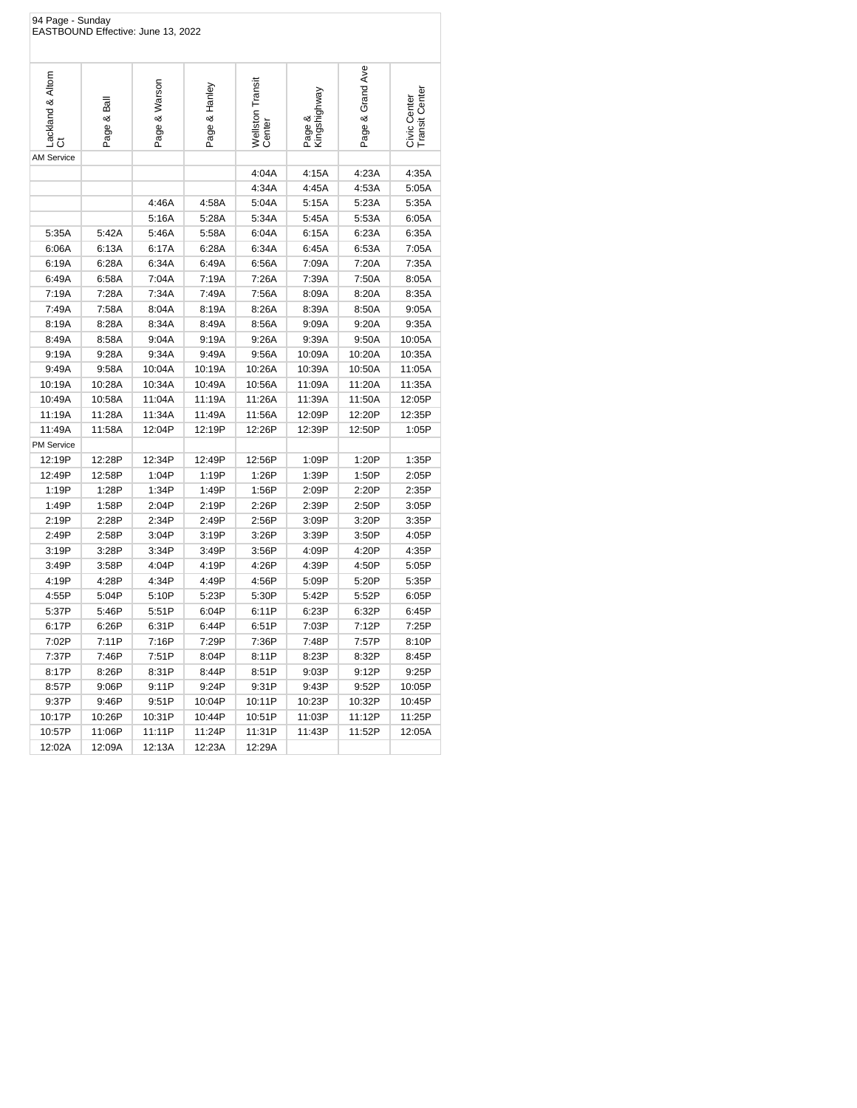| 94 Page - Sunday      |            | EASTBOUND Effective: June 13, 2022 |               |                            |                        |                  |                                |
|-----------------------|------------|------------------------------------|---------------|----------------------------|------------------------|------------------|--------------------------------|
| Lackland & Altom<br>ŏ | Page & Bal | Page & Warson                      | Page & Hanley | Wellston Transit<br>Center | Page &<br>Kingshighway | Page & Grand Ave | Civic Center<br>Transit Center |
| <b>AM Service</b>     |            |                                    |               |                            |                        |                  |                                |
|                       |            |                                    |               | 4:04A                      | 4:15A                  | 4:23A            | 4:35A                          |
|                       |            |                                    |               | 4:34A                      | 4:45A                  | 4:53A            | 5:05A                          |
|                       |            | 4:46A                              | 4:58A         | 5:04A                      | 5:15A                  | 5:23A            | 5:35A                          |
|                       |            | 5:16A                              | 5:28A         | 5:34A                      | 5:45A                  | 5:53A            | 6:05A                          |
| 5:35A                 | 5:42A      | 5:46A                              | 5:58A         | 6:04A                      | 6:15A                  | 6:23A            | 6:35A                          |
| 6:06A                 | 6:13A      | 6:17A                              | 6:28A         | 6:34A                      | 6:45A                  | 6:53A            | 7:05A                          |
| 6:19A                 | 6:28A      | 6:34A                              | 6:49A         | 6:56A                      | 7:09A                  | 7:20A            | 7:35A                          |
| 6:49A                 | 6:58A      | 7:04A                              | 7:19A         | 7:26A                      | 7:39A                  | 7:50A            | 8:05A                          |
| 7:19A                 | 7:28A      | 7:34A                              | 7:49A         | 7:56A                      | 8:09A                  | 8:20A            | 8:35A                          |
| 7:49A                 | 7:58A      | 8:04A                              | 8:19A         | 8:26A                      | 8:39A                  | 8:50A            | 9:05A                          |
| 8:19A                 | 8:28A      | 8:34A                              | 8:49A         | 8:56A                      | 9:09A                  | 9:20A            | 9:35A                          |
| 8:49A                 | 8:58A      | 9:04A                              | 9:19A         | 9:26A                      | 9:39A                  | 9:50A            | 10:05A                         |
| 9:19A                 | 9:28A      | 9:34A                              | 9:49A         | 9:56A                      | 10:09A                 | 10:20A           | 10:35A                         |
| 9:49A                 | 9:58A      | 10:04A                             | 10:19A        | 10:26A                     | 10:39A                 | 10:50A           | 11:05A                         |
| 10:19A                | 10:28A     | 10:34A                             | 10:49A        | 10:56A                     | 11:09A                 | 11:20A           | 11:35A                         |
| 10:49A                | 10:58A     | 11:04A                             | 11:19A        | 11:26A                     | 11:39A                 | 11:50A           | 12:05P                         |
| 11:19A                | 11:28A     | 11:34A                             | 11:49A        | 11:56A                     | 12:09P                 | 12:20P           | 12:35P                         |
| 11:49A                | 11:58A     | 12:04P                             | 12:19P        | 12:26P                     | 12:39P                 | 12:50P           | 1:05P                          |
| <b>PM Service</b>     |            |                                    |               |                            |                        |                  |                                |
| 12:19P                | 12:28P     | 12:34P                             | 12:49P        | 12:56P                     | 1:09P                  | 1:20P            | 1:35P                          |
| 12:49P                | 12:58P     | 1:04P                              | 1:19P         | 1:26P                      | 1:39P                  | 1:50P            | 2:05P                          |
| 1:19P                 | 1:28P      | 1:34P                              | 1:49P         | 1:56P                      | 2:09P                  | 2:20P            | 2:35P                          |
| 1:49P                 | 1:58P      | 2:04P                              | 2:19P         | 2:26P                      | 2:39P                  | 2:50P            | 3:05P                          |
| 2:19P                 | 2:28P      | 2:34P                              | 2:49P         | 2:56P                      | 3:09P                  | 3:20P            | 3:35P                          |
| 2:49P                 | 2:58P      | 3:04P                              | 3:19P         | 3:26P                      | 3:39P                  | 3:50P            | 4:05P                          |
| 3:19P                 | 3:28P      | 3:34P                              | 3:49P         | 3:56P                      | 4:09P                  | 4:20P            | 4:35P                          |
| 3:49P                 | 3:58P      | 4:04P                              | 4:19P         | 4:26P                      | 4:39P                  | 4:50P            | 5:05P                          |
| 4:19P                 | 4:28P      | 4:34P                              | 4:49P         | 4:56P                      | 5:09P                  | 5:20P            | 5:35P                          |
| 4:55P                 | 5:04P      | 5:10P                              | 5:23P         | 5:30P                      | 5:42P                  | 5:52P            | 6:05P                          |
| 5:37P                 | 5:46P      | 5:51P                              | 6:04P         | 6:11P                      | 6:23P                  | 6:32P            | 6:45P                          |
| 6:17P                 | 6:26P      | 6:31P                              | 6:44P         | 6:51P                      | 7:03P                  | 7:12P            | 7:25P                          |
| 7:02P                 | 7:11P      | 7:16P                              | 7:29P         | 7:36P                      | 7:48P                  | 7:57P            | 8:10P                          |
| 7:37P                 | 7:46P      | 7:51P                              | 8:04P         | 8:11P                      | 8:23P                  | 8:32P            | 8:45P                          |
| 8:17P                 | 8:26P      | 8:31P                              | 8:44P         | 8:51P                      | 9:03P                  | 9:12P            | 9:25P                          |
| 8:57P                 | 9:06P      | 9:11P                              | 9:24P         | 9:31P                      | 9:43P                  | 9:52P            | 10:05P                         |
| 9:37P                 | 9:46P      | 9:51P                              | 10:04P        | 10:11P                     | 10:23P                 | 10:32P           | 10:45P                         |
| 10:17P                | 10:26P     | 10:31P                             | 10:44P        | 10:51P                     | 11:03P                 | 11:12P           | 11:25P                         |
| 10:57P                | 11:06P     | 11:11P                             | 11:24P        | 11:31P                     | 11:43P                 | 11:52P           | 12:05A                         |
| 12:02A                | 12:09A     | 12:13A                             | 12:23A        | 12:29A                     |                        |                  |                                |